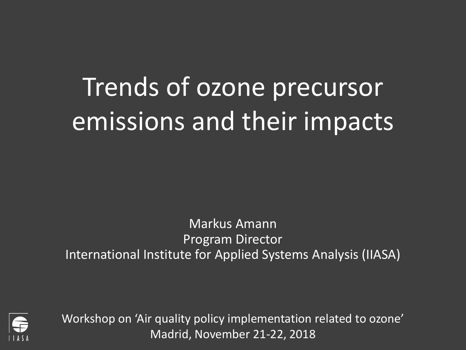# Trends of ozone precursor emissions and their impacts

Markus Amann Program Director International Institute for Applied Systems Analysis (IIASA)



Workshop on 'Air quality policy implementation related to ozone' Madrid, November 21-22, 2018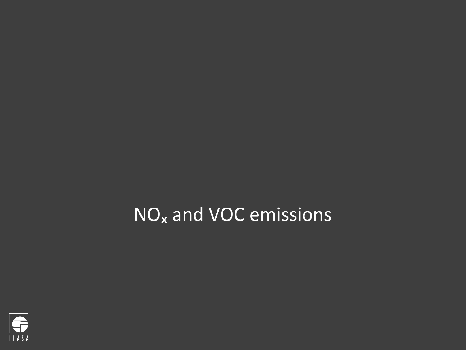## NO<sub>x</sub> and VOC emissions

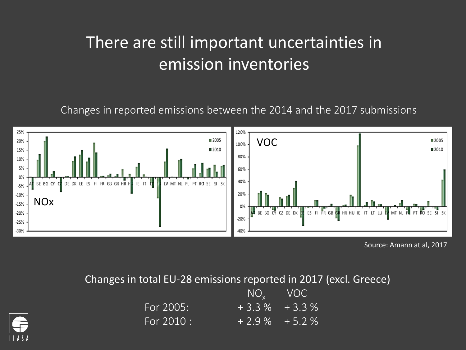### There are still important uncertainties in emission inventories

Changes in reported emissions between the 2014 and the 2017 submissions



Source: Amann at al, 2017

Changes in total EU-28 emissions reported in 2017 (excl. Greece)

|            | $NOv$ VOC        |  |
|------------|------------------|--|
| For 2005:  | $+3.3\%$ + 3.3 % |  |
| For 2010 : | $+2.9\%$ + 5.2 % |  |

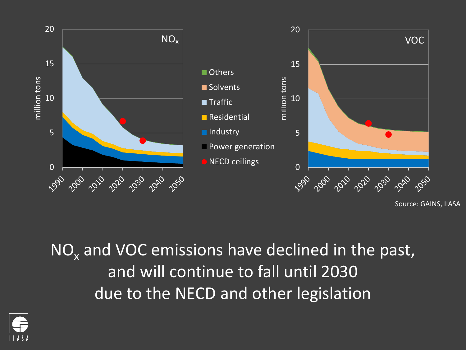

Source: GAINS, IIASA

 $NO<sub>x</sub>$  and VOC emissions have declined in the past, and will continue to fall until 2030 due to the NECD and other legislation

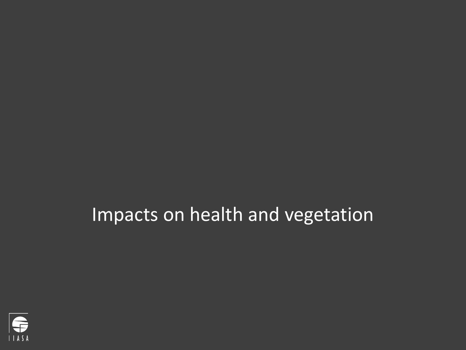### Impacts on health and vegetation

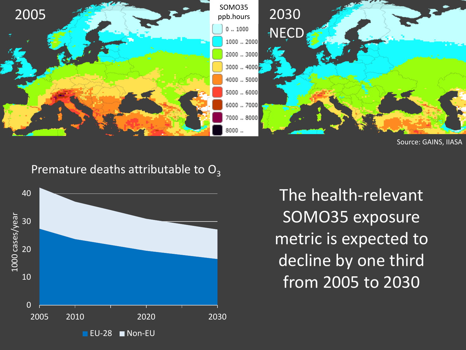

Source: GAINS, IIASA

#### Premature deaths attributable to  $O_3$



The health-relevant SOMO35 exposure metric is expected to decline by one third from 2005 to 2030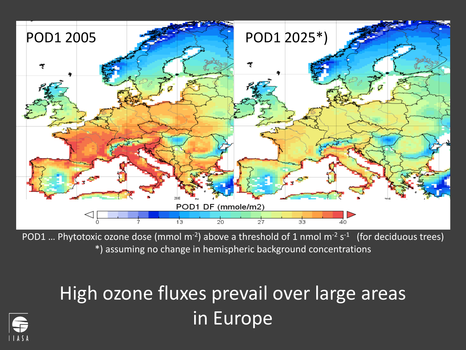

POD1 ... Phytotoxic ozone dose (mmol  $m^{-2}$ ) above a threshold of 1 nmol  $m^{-2}$  s<sup>-1</sup> (for deciduous trees) \*) assuming no change in hemispheric background concentrations

## High ozone fluxes prevail over large areas in Europe

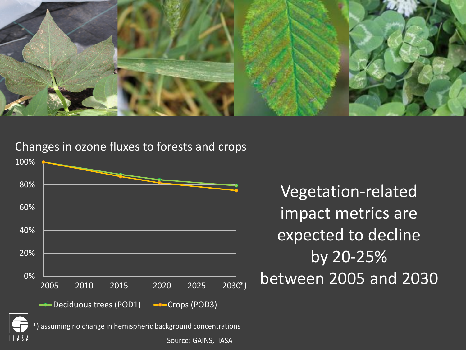

#### Changes in ozone fluxes to forests and crops



Vegetation-related impact metrics are expected to decline by 20-25% between 2005 and 2030

Source: GAINS, IIASA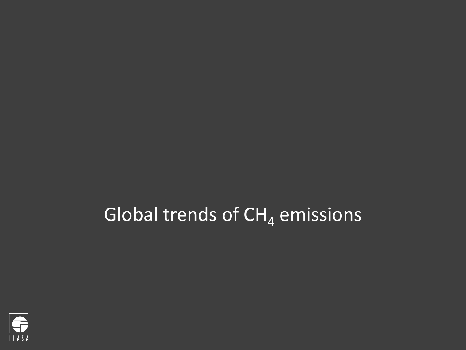## Global trends of  $CH<sub>4</sub>$  emissions

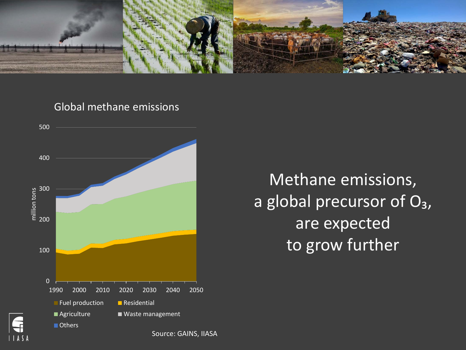

Global methane emissions



Methane emissions, a global precursor of  $O_3$ , are expected to grow further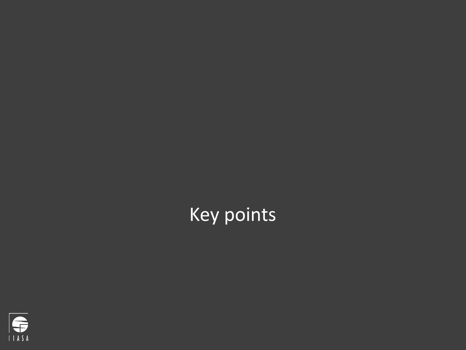## Key points